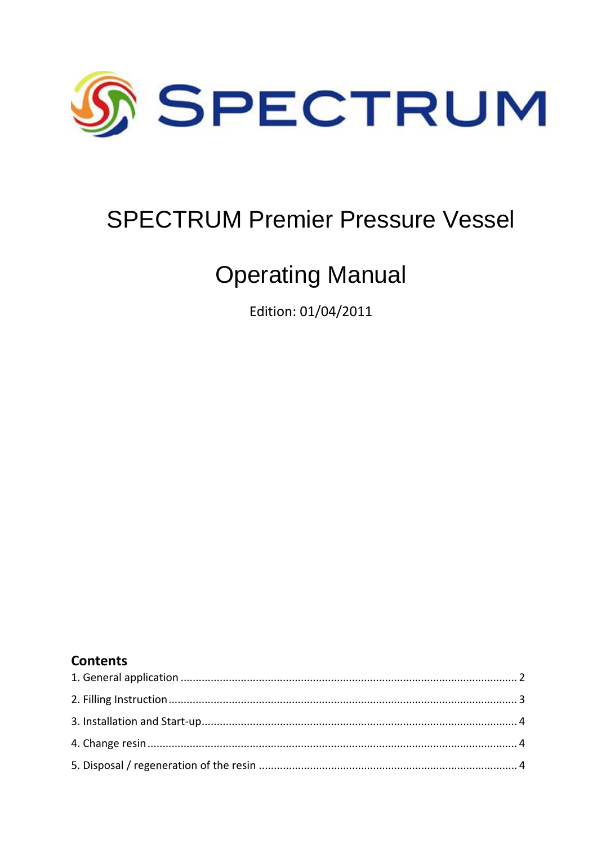

# **SPECTRUM Premier Pressure Vessel**

# **Operating Manual**

Edition: 01/04/2011

#### **Contents**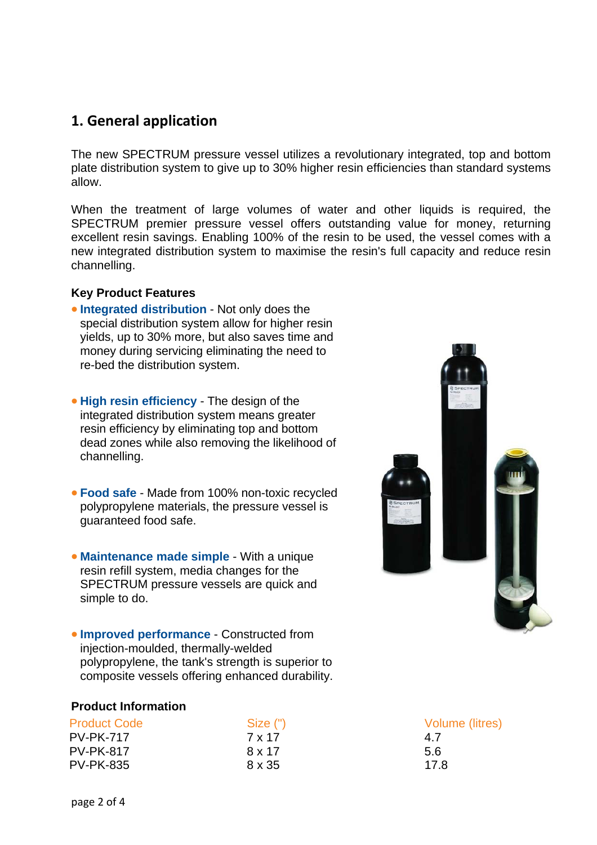#### <span id="page-1-0"></span>**1. General application**

The new SPECTRUM pressure vessel utilizes a revolutionary integrated, top and bottom plate distribution system to give up to 30% higher resin efficiencies than standard systems allow.

When the treatment of large volumes of water and other liquids is required, the SPECTRUM premier pressure vessel offers outstanding value for money, returning excellent resin savings. Enabling 100% of the resin to be used, the vessel comes with a new integrated distribution system to maximise the resin's full capacity and reduce resin channelling.

#### **Key Product Features**

- **Integrated distribution**  Not only does the special distribution system allow for higher resin yields, up to 30% more, but also saves time and money during servicing eliminating the need to re-bed the distribution system.
- **High resin efficiency** The design of the integrated distribution system means greater resin efficiency by eliminating top and bottom dead zones while also removing the likelihood of channelling.
- **Food safe** Made from 100% non-toxic recycled polypropylene materials, the pressure vessel is guaranteed food safe.
- **Maintenance made simple** With a unique resin refill system, media changes for the SPECTRUM pressure vessels are quick and simple to do.

**Improved performance - Constructed from** composite vessels offering enhanced durability. injection-moulded, thermally-welded polypropylene, the tank's strength is superior to

#### **Product Information**

| <b>Product Code</b> | Size (") | Volu |
|---------------------|----------|------|
| <b>PV-PK-717</b>    | 7 x 17   | 4.7  |
| <b>PV-PK-817</b>    | 8 x 17   | 5.6  |
| <b>PV-PK-835</b>    | 8 x 35   | 17.8 |



Volume (litres)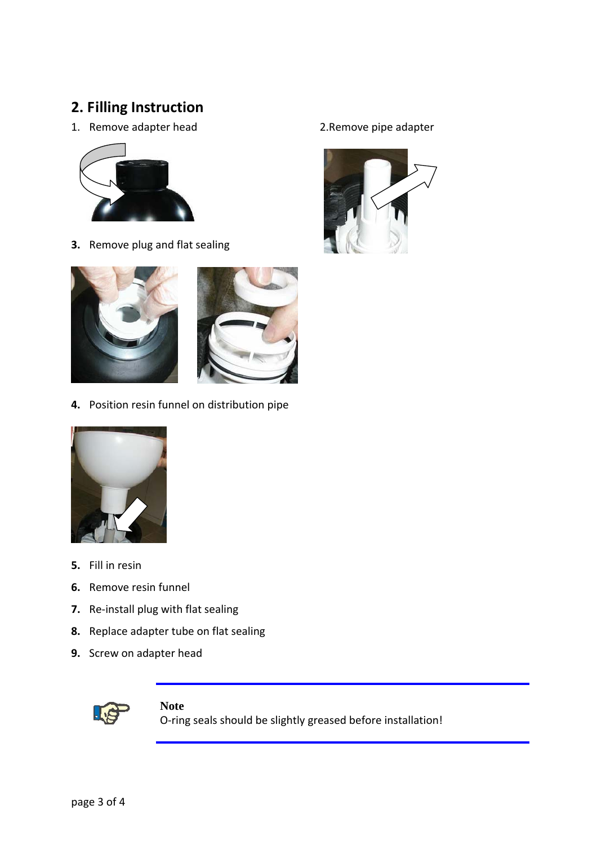## <span id="page-2-0"></span>**2. Filling Instruction**

1. Remove adapter head 2.Remove pipe adapter



**3.** Remove plug and flat sealing



**4.** Position resin funnel on distribution pipe



- **5.** Fill in resin
- **6.** Remove resin funnel
- **7.** Re‐install plug with flat sealing
- 8. Replace adapter tube on flat sealing
- **.** Screw on adapter head **9**



Note O-ring seals should be slightly greased before installation!